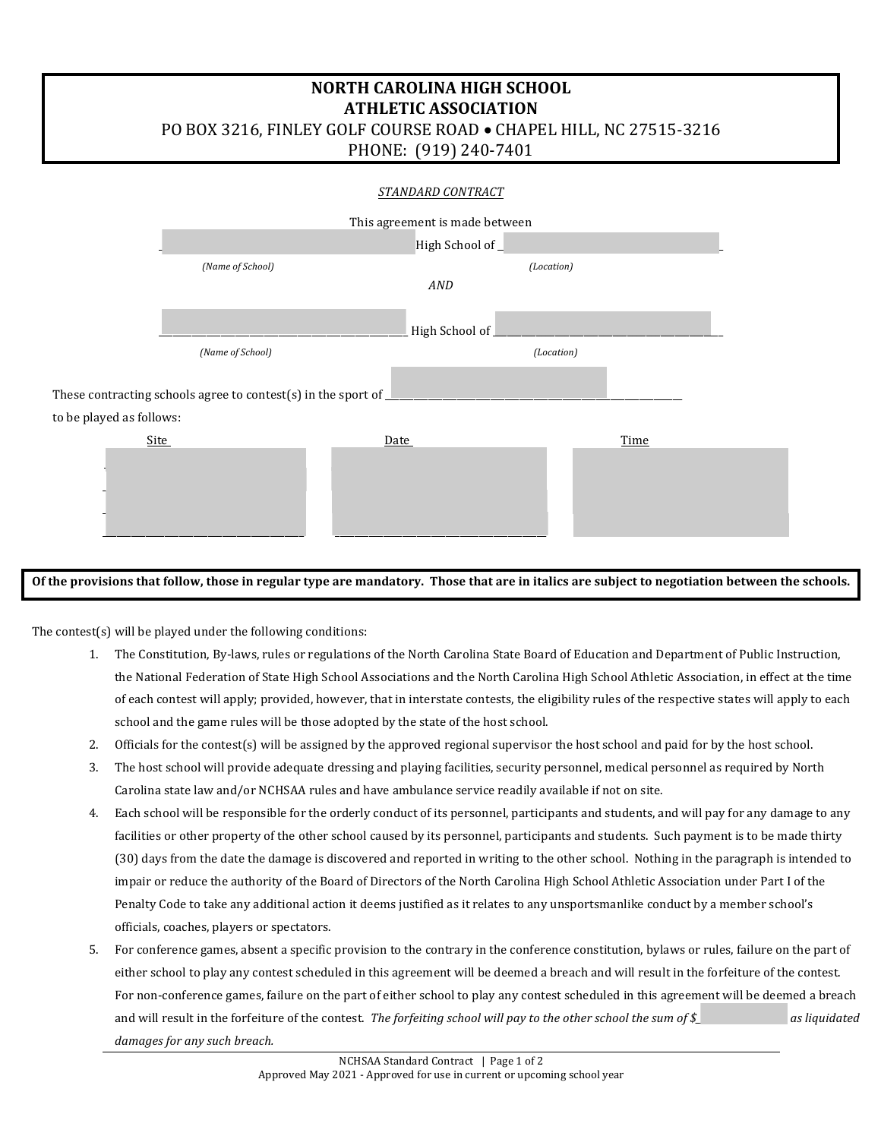## **NORTH CAROLINA HIGH SCHOOL ATHLETIC ASSOCIATION**

PO BOX 3216, FINLEY GOLF COURSE ROAD . CHAPEL HILL, NC 27515-3216

PHONE: (919) 240-7401

| STANDARD CONTRACT                                                    |                                |                |      |  |  |  |
|----------------------------------------------------------------------|--------------------------------|----------------|------|--|--|--|
|                                                                      | This agreement is made between |                |      |  |  |  |
|                                                                      | High School of_                |                |      |  |  |  |
|                                                                      | (Name of School)               | (Location)     |      |  |  |  |
|                                                                      |                                | AND            |      |  |  |  |
|                                                                      |                                |                |      |  |  |  |
|                                                                      |                                | High School of |      |  |  |  |
|                                                                      | (Name of School)               | (Location)     |      |  |  |  |
|                                                                      |                                |                |      |  |  |  |
| These contracting schools agree to contest(s) in the sport of $\Box$ |                                |                |      |  |  |  |
| to be played as follows:                                             |                                |                |      |  |  |  |
| <b>Site</b>                                                          |                                | <b>Date</b>    | Time |  |  |  |
|                                                                      |                                |                |      |  |  |  |
|                                                                      |                                |                |      |  |  |  |
|                                                                      |                                |                |      |  |  |  |
|                                                                      |                                |                |      |  |  |  |
|                                                                      |                                |                |      |  |  |  |

Of the provisions that follow, those in regular type are mandatory. Those that are in italics are subject to negotiation between the schools.

The contest(s) will be played under the following conditions:

- 1. The Constitution, By-laws, rules or regulations of the North Carolina State Board of Education and Department of Public Instruction, the National Federation of State High School Associations and the North Carolina High School Athletic Association, in effect at the time of each contest will apply; provided, however, that in interstate contests, the eligibility rules of the respective states will apply to each school and the game rules will be those adopted by the state of the host school.
- 2. Officials for the contest(s) will be assigned by the approved regional supervisor the host school and paid for by the host school.
- 3. The host school will provide adequate dressing and playing facilities, security personnel, medical personnel as required by North Carolina state law and/or NCHSAA rules and have ambulance service readily available if not on site.
- 4. Each school will be responsible for the orderly conduct of its personnel, participants and students, and will pay for any damage to any facilities or other property of the other school caused by its personnel, participants and students. Such payment is to be made thirty (30) days from the date the damage is discovered and reported in writing to the other school. Nothing in the paragraph is intended to impair or reduce the authority of the Board of Directors of the North Carolina High School Athletic Association under Part I of the Penalty Code to take any additional action it deems justified as it relates to any unsportsmanlike conduct by a member school's officials, coaches, players or spectators.
- 5. For conference games, absent a specific provision to the contrary in the conference constitution, bylaws or rules, failure on the part of either school to play any contest scheduled in this agreement will be deemed a breach and will result in the forfeiture of the contest. For non-conference games, failure on the part of either school to play any contest scheduled in this agreement will be deemed a breach and will result in the forfeiture of the contest. *The forfeiting school will pay to the other school the sum of \$\_\_\_\_\_\_\_\_\_\_\_\_\_\_\_\_\_\_\_ as liquidated* damages for any such breach.